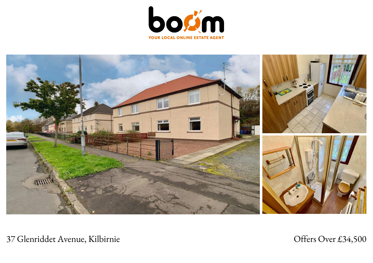



Offers Over £34,500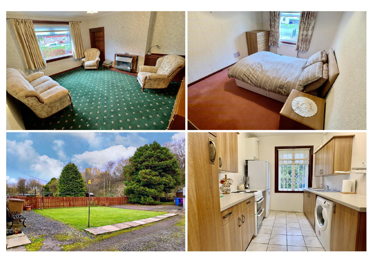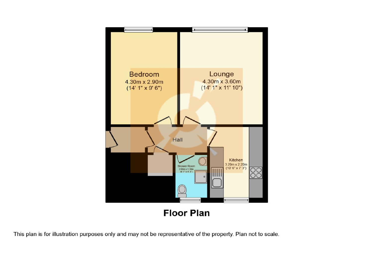

**Floor Plan** 

This plan is for illustration purposes only and may not be representative of the property. Plan not to scale.